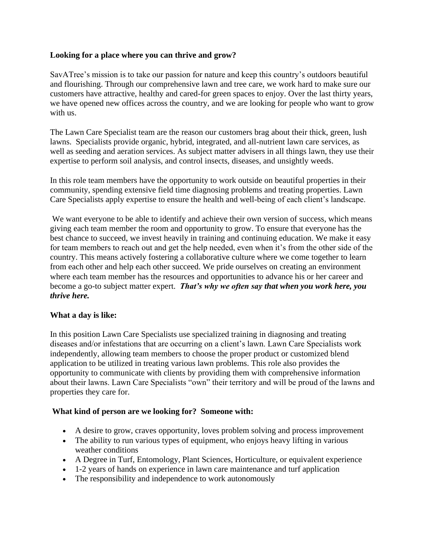## **Looking for a place where you can thrive and grow?**

SavATree's mission is to take our passion for nature and keep this country's outdoors beautiful and flourishing. Through our comprehensive lawn and tree care, we work hard to make sure our customers have attractive, healthy and cared-for green spaces to enjoy. Over the last thirty years, we have opened new offices across the country, and we are looking for people who want to grow with us.

The Lawn Care Specialist team are the reason our customers brag about their thick, green, lush lawns. Specialists provide organic, hybrid, integrated, and all-nutrient lawn care services, as well as seeding and aeration services. As subject matter advisers in all things lawn, they use their expertise to perform soil analysis, and control insects, diseases, and unsightly weeds.

In this role team members have the opportunity to work outside on beautiful properties in their community, spending extensive field time diagnosing problems and treating properties. Lawn Care Specialists apply expertise to ensure the health and well-being of each client's landscape.

We want everyone to be able to identify and achieve their own version of success, which means giving each team member the room and opportunity to grow. To ensure that everyone has the best chance to succeed, we invest heavily in training and continuing education. We make it easy for team members to reach out and get the help needed, even when it's from the other side of the country. This means actively fostering a collaborative culture where we come together to learn from each other and help each other succeed. We pride ourselves on creating an environment where each team member has the resources and opportunities to advance his or her career and become a go-to subject matter expert. *That's why we often say that when you work here, you thrive here.*

## **What a day is like:**

In this position Lawn Care Specialists use specialized training in diagnosing and treating diseases and/or infestations that are occurring on a client's lawn. Lawn Care Specialists work independently, allowing team members to choose the proper product or customized blend application to be utilized in treating various lawn problems. This role also provides the opportunity to communicate with clients by providing them with comprehensive information about their lawns. Lawn Care Specialists "own" their territory and will be proud of the lawns and properties they care for.

## **What kind of person are we looking for? Someone with:**

- A desire to grow, craves opportunity, loves problem solving and process improvement
- The ability to run various types of equipment, who enjoys heavy lifting in various weather conditions
- A Degree in Turf, Entomology, Plant Sciences, Horticulture, or equivalent experience
- 1-2 years of hands on experience in lawn care maintenance and turf application
- The responsibility and independence to work autonomously